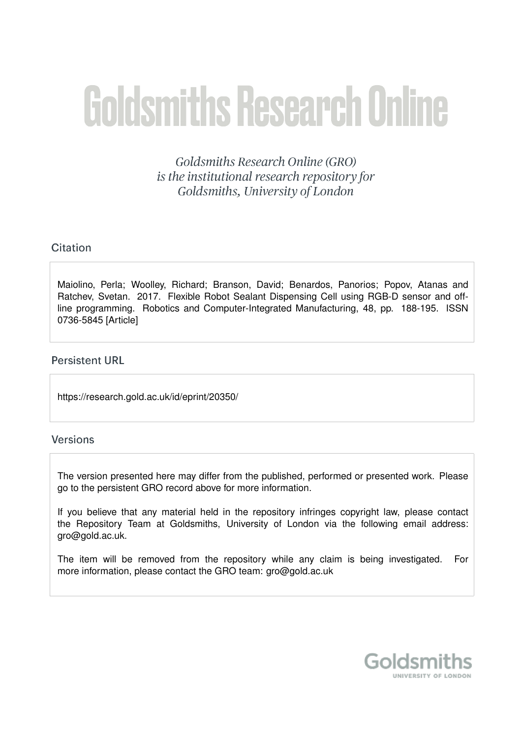# **Goldsmiths Research Online**

Goldsmiths Research Online (GRO) is the institutional research repository for Goldsmiths, University of London

# Citation

Maiolino, Perla; Woolley, Richard; Branson, David; Benardos, Panorios; Popov, Atanas and Ratchev, Svetan. 2017. Flexible Robot Sealant Dispensing Cell using RGB-D sensor and offline programming. Robotics and Computer-Integrated Manufacturing, 48, pp. 188-195. ISSN 0736-5845 [Article]

## **Persistent URL**

https://research.gold.ac.uk/id/eprint/20350/

## **Versions**

The version presented here may differ from the published, performed or presented work. Please go to the persistent GRO record above for more information.

If you believe that any material held in the repository infringes copyright law, please contact the Repository Team at Goldsmiths, University of London via the following email address: gro@gold.ac.uk.

The item will be removed from the repository while any claim is being investigated. For more information, please contact the GRO team: gro@gold.ac.uk

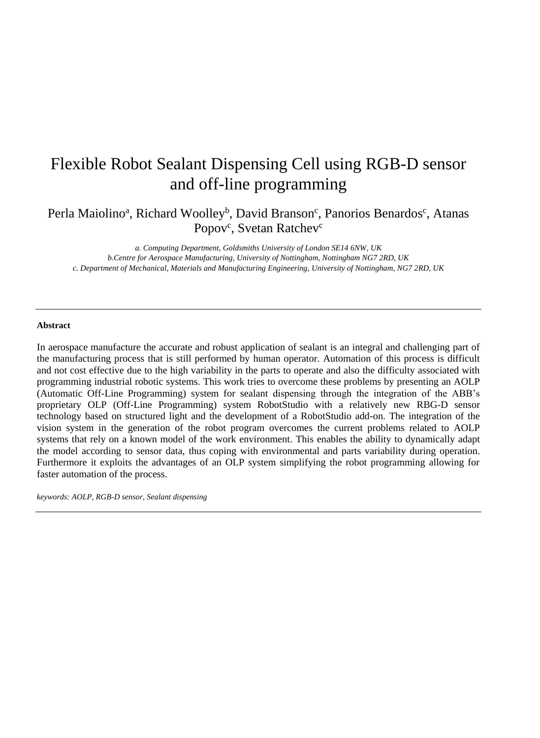# Flexible Robot Sealant Dispensing Cell using RGB-D sensor and off-line programming

Perla Maiolino<sup>a</sup>, Richard Woolley<sup>b</sup>, David Branson<sup>c</sup>, Panorios Benardos<sup>c</sup>, Atanas Popov<sup>c</sup>, Svetan Ratchev<sup>c</sup>

*a. Computing Department, Goldsmiths University of London SE14 6NW, UK b.Centre for Aerospace Manufacturing, University of Nottingham, Nottingham NG7 2RD, UK c. Department of Mechanical, Materials and Manufacturing Engineering, University of Nottingham, NG7 2RD, UK*

#### **Abstract**

In aerospace manufacture the accurate and robust application of sealant is an integral and challenging part of the manufacturing process that is still performed by human operator. Automation of this process is difficult and not cost effective due to the high variability in the parts to operate and also the difficulty associated with programming industrial robotic systems. This work tries to overcome these problems by presenting an AOLP (Automatic Off-Line Programming) system for sealant dispensing through the integration of the ABB's proprietary OLP (Off-Line Programming) system RobotStudio with a relatively new RBG-D sensor technology based on structured light and the development of a RobotStudio add-on. The integration of the vision system in the generation of the robot program overcomes the current problems related to AOLP systems that rely on a known model of the work environment. This enables the ability to dynamically adapt the model according to sensor data, thus coping with environmental and parts variability during operation. Furthermore it exploits the advantages of an OLP system simplifying the robot programming allowing for faster automation of the process.

*keywords: AOLP, RGB-D sensor, Sealant dispensing*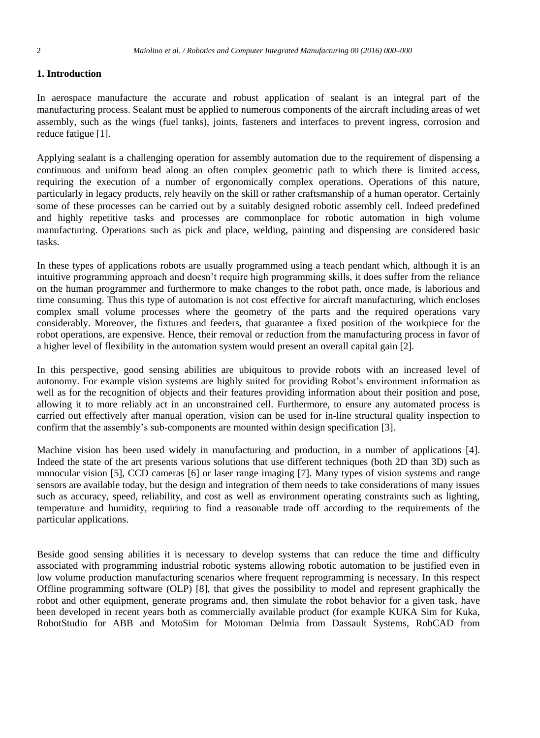#### **1. Introduction**

In aerospace manufacture the accurate and robust application of sealant is an integral part of the manufacturing process. Sealant must be applied to numerous components of the aircraft including areas of wet assembly, such as the wings (fuel tanks), joints, fasteners and interfaces to prevent ingress, corrosion and reduce fatigue [1].

Applying sealant is a challenging operation for assembly automation due to the requirement of dispensing a continuous and uniform bead along an often complex geometric path to which there is limited access, requiring the execution of a number of ergonomically complex operations. Operations of this nature, particularly in legacy products, rely heavily on the skill or rather craftsmanship of a human operator. Certainly some of these processes can be carried out by a suitably designed robotic assembly cell. Indeed predefined and highly repetitive tasks and processes are commonplace for robotic automation in high volume manufacturing. Operations such as pick and place, welding, painting and dispensing are considered basic tasks.

In these types of applications robots are usually programmed using a teach pendant which, although it is an intuitive programming approach and doesn't require high programming skills, it does suffer from the reliance on the human programmer and furthermore to make changes to the robot path, once made, is laborious and time consuming. Thus this type of automation is not cost effective for aircraft manufacturing, which encloses complex small volume processes where the geometry of the parts and the required operations vary considerably. Moreover, the fixtures and feeders, that guarantee a fixed position of the workpiece for the robot operations, are expensive. Hence, their removal or reduction from the manufacturing process in favor of a higher level of flexibility in the automation system would present an overall capital gain [2].

In this perspective, good sensing abilities are ubiquitous to provide robots with an increased level of autonomy. For example vision systems are highly suited for providing Robot's environment information as well as for the recognition of objects and their features providing information about their position and pose, allowing it to more reliably act in an unconstrained cell. Furthermore, to ensure any automated process is carried out effectively after manual operation, vision can be used for in-line structural quality inspection to confirm that the assembly's sub-components are mounted within design specification [3].

Machine vision has been used widely in manufacturing and production, in a number of applications [4]. Indeed the state of the art presents various solutions that use different techniques (both 2D than 3D) such as monocular vision [5], CCD cameras [6] or laser range imaging [7]. Many types of vision systems and range sensors are available today, but the design and integration of them needs to take considerations of many issues such as accuracy, speed, reliability, and cost as well as environment operating constraints such as lighting, temperature and humidity, requiring to find a reasonable trade off according to the requirements of the particular applications.

Beside good sensing abilities it is necessary to develop systems that can reduce the time and difficulty associated with programming industrial robotic systems allowing robotic automation to be justified even in low volume production manufacturing scenarios where frequent reprogramming is necessary. In this respect Offline programming software (OLP) [8], that gives the possibility to model and represent graphically the robot and other equipment, generate programs and, then simulate the robot behavior for a given task, have been developed in recent years both as commercially available product (for example KUKA Sim for Kuka, RobotStudio for ABB and MotoSim for Motoman Delmia from Dassault Systems, RobCAD from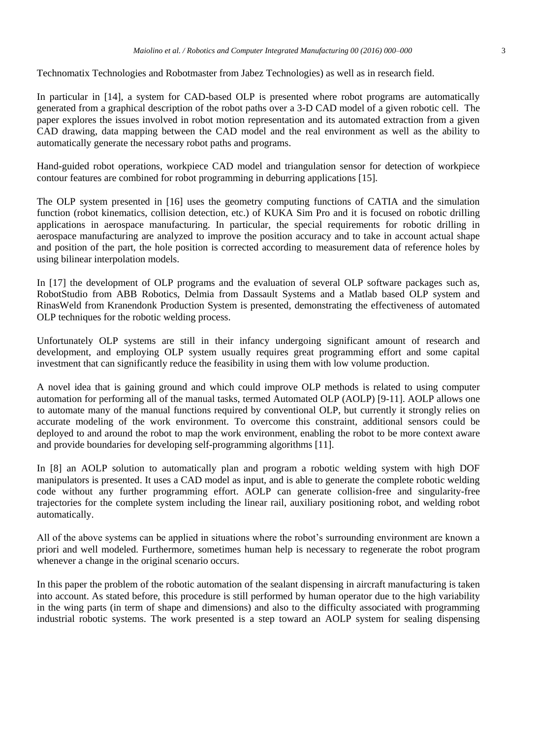Technomatix Technologies and Robotmaster from Jabez Technologies) as well as in research field.

In particular in [14], a system for CAD-based OLP is presented where robot programs are automatically generated from a graphical description of the robot paths over a 3-D CAD model of a given robotic cell. The paper explores the issues involved in robot motion representation and its automated extraction from a given CAD drawing, data mapping between the CAD model and the real environment as well as the ability to automatically generate the necessary robot paths and programs.

Hand-guided robot operations, workpiece CAD model and triangulation sensor for detection of workpiece contour features are combined for robot programming in deburring applications [15].

The OLP system presented in [16] uses the geometry computing functions of CATIA and the simulation function (robot kinematics, collision detection, etc.) of KUKA Sim Pro and it is focused on robotic drilling applications in aerospace manufacturing. In particular, the special requirements for robotic drilling in aerospace manufacturing are analyzed to improve the position accuracy and to take in account actual shape and position of the part, the hole position is corrected according to measurement data of reference holes by using bilinear interpolation models.

In [17] the development of OLP programs and the evaluation of several OLP software packages such as, RobotStudio from ABB Robotics, Delmia from Dassault Systems and a Matlab based OLP system and RinasWeld from Kranendonk Production System is presented, demonstrating the effectiveness of automated OLP techniques for the robotic welding process.

Unfortunately OLP systems are still in their infancy undergoing significant amount of research and development, and employing OLP system usually requires great programming effort and some capital investment that can significantly reduce the feasibility in using them with low volume production.

A novel idea that is gaining ground and which could improve OLP methods is related to using computer automation for performing all of the manual tasks, termed Automated OLP (AOLP) [9-11]. AOLP allows one to automate many of the manual functions required by conventional OLP, but currently it strongly relies on accurate modeling of the work environment. To overcome this constraint, additional sensors could be deployed to and around the robot to map the work environment, enabling the robot to be more context aware and provide boundaries for developing self-programming algorithms [11].

In [8] an AOLP solution to automatically plan and program a robotic welding system with high DOF manipulators is presented. It uses a CAD model as input, and is able to generate the complete robotic welding code without any further programming effort. AOLP can generate collision-free and singularity-free trajectories for the complete system including the linear rail, auxiliary positioning robot, and welding robot automatically.

All of the above systems can be applied in situations where the robot's surrounding environment are known a priori and well modeled. Furthermore, sometimes human help is necessary to regenerate the robot program whenever a change in the original scenario occurs.

In this paper the problem of the robotic automation of the sealant dispensing in aircraft manufacturing is taken into account. As stated before, this procedure is still performed by human operator due to the high variability in the wing parts (in term of shape and dimensions) and also to the difficulty associated with programming industrial robotic systems. The work presented is a step toward an AOLP system for sealing dispensing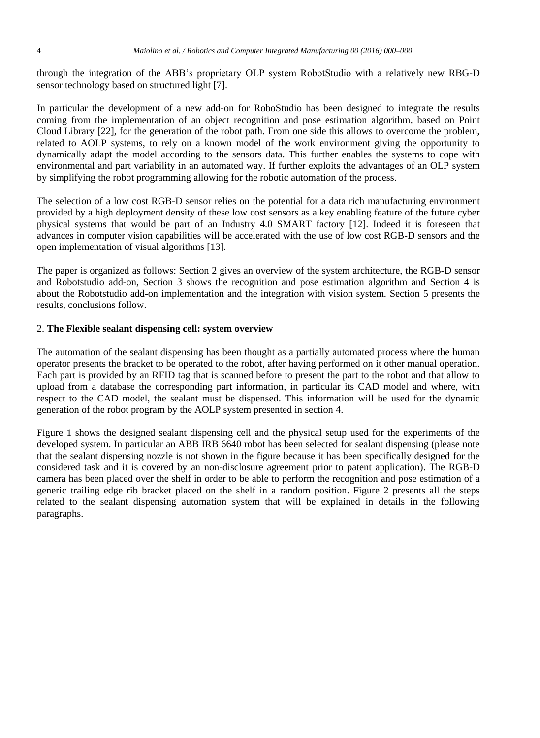through the integration of the ABB's proprietary OLP system RobotStudio with a relatively new RBG-D sensor technology based on structured light [7].

In particular the development of a new add-on for RoboStudio has been designed to integrate the results coming from the implementation of an object recognition and pose estimation algorithm, based on Point Cloud Library [22], for the generation of the robot path. From one side this allows to overcome the problem, related to AOLP systems, to rely on a known model of the work environment giving the opportunity to dynamically adapt the model according to the sensors data. This further enables the systems to cope with environmental and part variability in an automated way. If further exploits the advantages of an OLP system by simplifying the robot programming allowing for the robotic automation of the process.

The selection of a low cost RGB-D sensor relies on the potential for a data rich manufacturing environment provided by a high deployment density of these low cost sensors as a key enabling feature of the future cyber physical systems that would be part of an Industry 4.0 SMART factory [12]. Indeed it is foreseen that advances in computer vision capabilities will be accelerated with the use of low cost RGB-D sensors and the open implementation of visual algorithms [13].

The paper is organized as follows: Section 2 gives an overview of the system architecture, the RGB-D sensor and Robotstudio add-on, Section 3 shows the recognition and pose estimation algorithm and Section 4 is about the Robotstudio add-on implementation and the integration with vision system. Section 5 presents the results, conclusions follow.

#### 2. **The Flexible sealant dispensing cell: system overview**

The automation of the sealant dispensing has been thought as a partially automated process where the human operator presents the bracket to be operated to the robot, after having performed on it other manual operation. Each part is provided by an RFID tag that is scanned before to present the part to the robot and that allow to upload from a database the corresponding part information, in particular its CAD model and where, with respect to the CAD model, the sealant must be dispensed. This information will be used for the dynamic generation of the robot program by the AOLP system presented in section 4.

Figure 1 shows the designed sealant dispensing cell and the physical setup used for the experiments of the developed system. In particular an ABB IRB 6640 robot has been selected for sealant dispensing (please note that the sealant dispensing nozzle is not shown in the figure because it has been specifically designed for the considered task and it is covered by an non-disclosure agreement prior to patent application). The RGB-D camera has been placed over the shelf in order to be able to perform the recognition and pose estimation of a generic trailing edge rib bracket placed on the shelf in a random position. Figure 2 presents all the steps related to the sealant dispensing automation system that will be explained in details in the following paragraphs.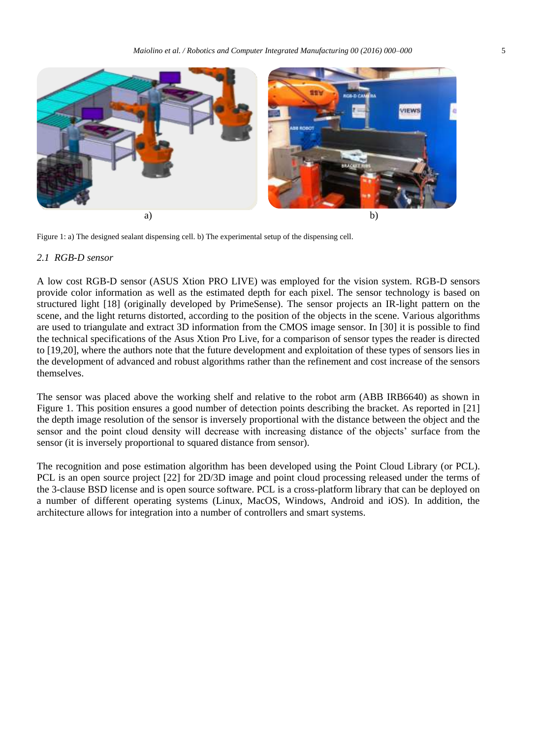

Figure 1: a) The designed sealant dispensing cell. b) The experimental setup of the dispensing cell.

#### *2.1 RGB-D sensor*

A low cost RGB-D sensor (ASUS Xtion PRO LIVE) was employed for the vision system. RGB-D sensors provide color information as well as the estimated depth for each pixel. The sensor technology is based on structured light [18] (originally developed by PrimeSense). The sensor projects an IR-light pattern on the scene, and the light returns distorted, according to the position of the objects in the scene. Various algorithms are used to triangulate and extract 3D information from the CMOS image sensor. In [30] it is possible to find the technical specifications of the Asus Xtion Pro Live, for a comparison of sensor types the reader is directed to [19,20], where the authors note that the future development and exploitation of these types of sensors lies in the development of advanced and robust algorithms rather than the refinement and cost increase of the sensors themselves.

The sensor was placed above the working shelf and relative to the robot arm (ABB IRB6640) as shown in Figure 1. This position ensures a good number of detection points describing the bracket. As reported in [21] the depth image resolution of the sensor is inversely proportional with the distance between the object and the sensor and the point cloud density will decrease with increasing distance of the objects' surface from the sensor (it is inversely proportional to squared distance from sensor).

The recognition and pose estimation algorithm has been developed using the Point Cloud Library (or PCL). PCL is an open source project [22] for 2D/3D image and point cloud processing released under the terms of the 3-clause BSD license and is open source software. PCL is a cross-platform library that can be deployed on a number of different operating systems (Linux, MacOS, Windows, Android and iOS). In addition, the architecture allows for integration into a number of controllers and smart systems.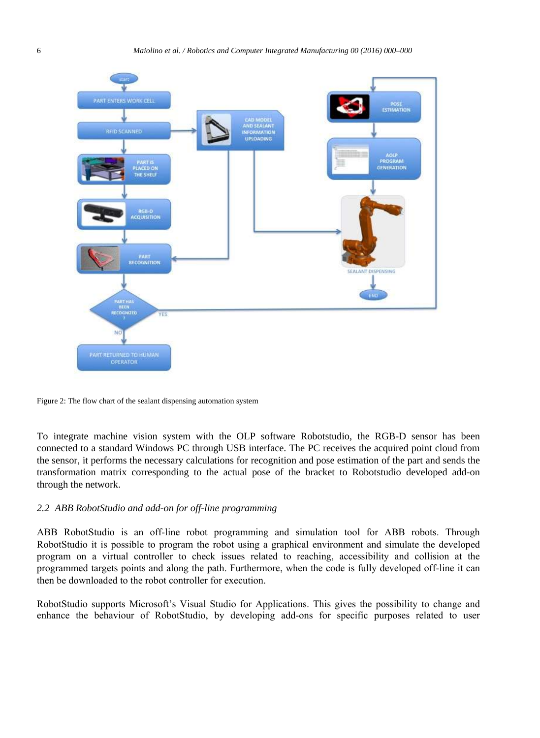

Figure 2: The flow chart of the sealant dispensing automation system

To integrate machine vision system with the OLP software Robotstudio, the RGB-D sensor has been connected to a standard Windows PC through USB interface. The PC receives the acquired point cloud from the sensor, it performs the necessary calculations for recognition and pose estimation of the part and sends the transformation matrix corresponding to the actual pose of the bracket to Robotstudio developed add-on through the network.

#### *2.2 ABB RobotStudio and add-on for off-line programming*

ABB RobotStudio is an off-line robot programming and simulation tool for ABB robots. Through RobotStudio it is possible to program the robot using a graphical environment and simulate the developed program on a virtual controller to check issues related to reaching, accessibility and collision at the programmed targets points and along the path. Furthermore, when the code is fully developed off-line it can then be downloaded to the robot controller for execution.

RobotStudio supports Microsoft's Visual Studio for Applications. This gives the possibility to change and enhance the behaviour of RobotStudio, by developing add-ons for specific purposes related to user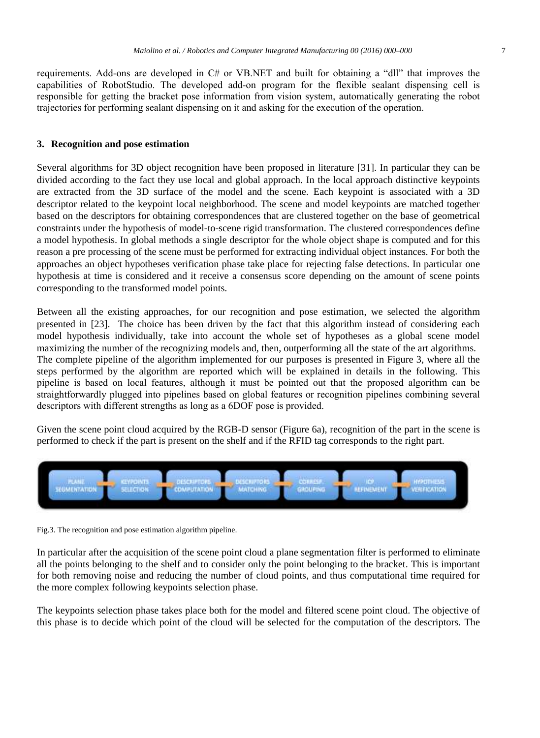requirements. Add-ons are developed in C# or VB.NET and built for obtaining a "dll" that improves the capabilities of RobotStudio. The developed add-on program for the flexible sealant dispensing cell is responsible for getting the bracket pose information from vision system, automatically generating the robot trajectories for performing sealant dispensing on it and asking for the execution of the operation.

#### **3. Recognition and pose estimation**

Several algorithms for 3D object recognition have been proposed in literature [31]. In particular they can be divided according to the fact they use local and global approach. In the local approach distinctive keypoints are extracted from the 3D surface of the model and the scene. Each keypoint is associated with a 3D descriptor related to the keypoint local neighborhood. The scene and model keypoints are matched together based on the descriptors for obtaining correspondences that are clustered together on the base of geometrical constraints under the hypothesis of model-to-scene rigid transformation. The clustered correspondences define a model hypothesis. In global methods a single descriptor for the whole object shape is computed and for this reason a pre processing of the scene must be performed for extracting individual object instances. For both the approaches an object hypotheses verification phase take place for rejecting false detections. In particular one hypothesis at time is considered and it receive a consensus score depending on the amount of scene points corresponding to the transformed model points.

Between all the existing approaches, for our recognition and pose estimation, we selected the algorithm presented in [23]. The choice has been driven by the fact that this algorithm instead of considering each model hypothesis individually, take into account the whole set of hypotheses as a global scene model maximizing the number of the recognizing models and, then, outperforming all the state of the art algorithms. The complete pipeline of the algorithm implemented for our purposes is presented in Figure 3, where all the steps performed by the algorithm are reported which will be explained in details in the following. This pipeline is based on local features, although it must be pointed out that the proposed algorithm can be straightforwardly plugged into pipelines based on global features or recognition pipelines combining several descriptors with different strengths as long as a 6DOF pose is provided.

Given the scene point cloud acquired by the RGB-D sensor (Figure 6a), recognition of the part in the scene is performed to check if the part is present on the shelf and if the RFID tag corresponds to the right part.



Fig.3. The recognition and pose estimation algorithm pipeline.

In particular after the acquisition of the scene point cloud a plane segmentation filter is performed to eliminate all the points belonging to the shelf and to consider only the point belonging to the bracket. This is important for both removing noise and reducing the number of cloud points, and thus computational time required for the more complex following keypoints selection phase.

The keypoints selection phase takes place both for the model and filtered scene point cloud. The objective of this phase is to decide which point of the cloud will be selected for the computation of the descriptors. The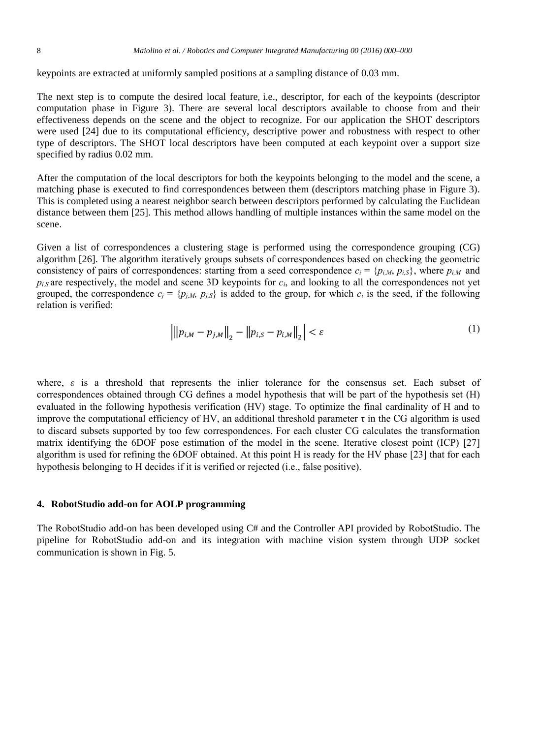keypoints are extracted at uniformly sampled positions at a sampling distance of 0.03 mm.

The next step is to compute the desired local feature, i.e., descriptor, for each of the keypoints (descriptor computation phase in Figure 3). There are several local descriptors available to choose from and their effectiveness depends on the scene and the object to recognize. For our application the SHOT descriptors were used [24] due to its computational efficiency, descriptive power and robustness with respect to other type of descriptors. The SHOT local descriptors have been computed at each keypoint over a support size specified by radius 0.02 mm.

After the computation of the local descriptors for both the keypoints belonging to the model and the scene, a matching phase is executed to find correspondences between them (descriptors matching phase in Figure 3). This is completed using a nearest neighbor search between descriptors performed by calculating the Euclidean distance between them [25]. This method allows handling of multiple instances within the same model on the scene.

Given a list of correspondences a clustering stage is performed using the correspondence grouping (CG) algorithm [26]. The algorithm iteratively groups subsets of correspondences based on checking the geometric consistency of pairs of correspondences: starting from a seed correspondence  $c_i = \{p_{i,M}, p_{i,S}\}$ , where  $p_{i,M}$  and  $p_{i,S}$  are respectively, the model and scene 3D keypoints for  $c_i$ , and looking to all the correspondences not yet grouped, the correspondence  $c_j = \{p_{j,M}, p_{j,S}\}\$  is added to the group, for which  $c_i$  is the seed, if the following relation is verified:

$$
\left| \| p_{i,M} - p_{j,M} \|_{2} - \| p_{i,S} - p_{i,M} \|_{2} \right| < \varepsilon \tag{1}
$$

where, *ε* is a threshold that represents the inlier tolerance for the consensus set. Each subset of correspondences obtained through CG defines a model hypothesis that will be part of the hypothesis set (H) evaluated in the following hypothesis verification (HV) stage. To optimize the final cardinality of H and to improve the computational efficiency of HV, an additional threshold parameter  $\tau$  in the CG algorithm is used to discard subsets supported by too few correspondences. For each cluster CG calculates the transformation matrix identifying the 6DOF pose estimation of the model in the scene. Iterative closest point (ICP) [27] algorithm is used for refining the 6DOF obtained. At this point H is ready for the HV phase [23] that for each hypothesis belonging to H decides if it is verified or rejected (i.e., false positive).

#### **4. RobotStudio add-on for AOLP programming**

The RobotStudio add-on has been developed using C# and the Controller API provided by RobotStudio. The pipeline for RobotStudio add-on and its integration with machine vision system through UDP socket communication is shown in Fig. 5.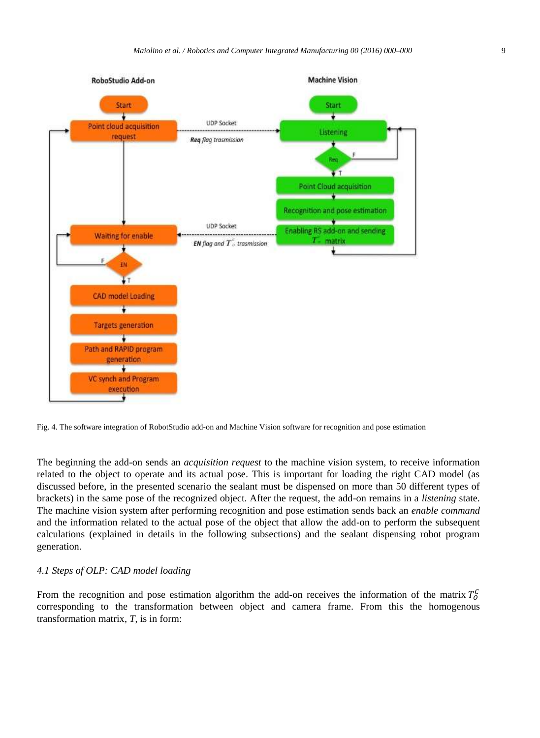

Fig. 4. The software integration of RobotStudio add-on and Machine Vision software for recognition and pose estimation

The beginning the add-on sends an *acquisition request* to the machine vision system, to receive information related to the object to operate and its actual pose. This is important for loading the right CAD model (as discussed before, in the presented scenario the sealant must be dispensed on more than 50 different types of brackets) in the same pose of the recognized object. After the request, the add-on remains in a *listening* state. The machine vision system after performing recognition and pose estimation sends back an *enable command* and the information related to the actual pose of the object that allow the add-on to perform the subsequent calculations (explained in details in the following subsections) and the sealant dispensing robot program generation.

#### *4.1 Steps of OLP: CAD model loading*

From the recognition and pose estimation algorithm the add-on receives the information of the matrix  $T_0^c$ corresponding to the transformation between object and camera frame. From this the homogenous transformation matrix, *T*, is in form: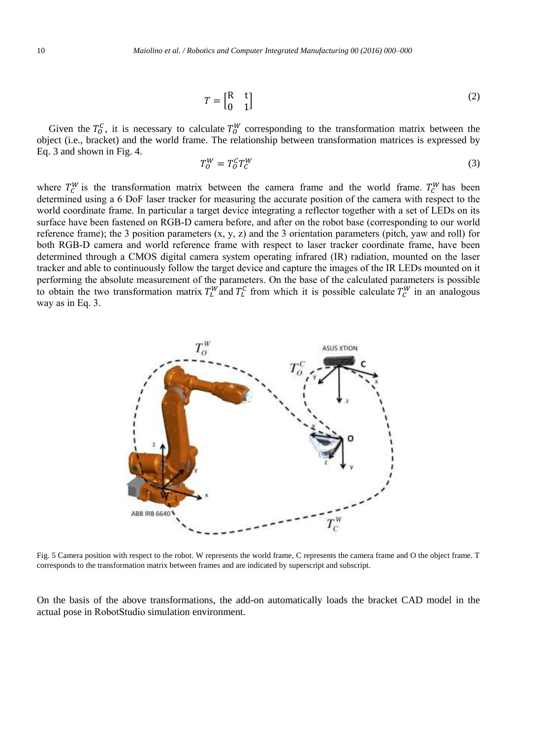$$
T = \begin{bmatrix} R & t \\ 0 & 1 \end{bmatrix} \tag{2}
$$

Given the  $T_0^C$ , it is necessary to calculate  $T_0^W$  corresponding to the transformation matrix between the object (i.e., bracket) and the world frame. The relationship between transformation matrices is expressed by Eq. 3 and shown in Fig. 4.

$$
T_0^W = T_0^C T_C^W \tag{3}
$$

where  $T_c^W$  is the transformation matrix between the camera frame and the world frame.  $T_c^W$  has been determined using a 6 DoF laser tracker for measuring the accurate position of the camera with respect to the world coordinate frame. In particular a target device integrating a reflector together with a set of LEDs on its surface have been fastened on RGB-D camera before, and after on the robot base (corresponding to our world reference frame); the 3 position parameters  $(x, y, z)$  and the 3 orientation parameters (pitch, yaw and roll) for both RGB-D camera and world reference frame with respect to laser tracker coordinate frame, have been determined through a CMOS digital camera system operating infrared (IR) radiation, mounted on the laser tracker and able to continuously follow the target device and capture the images of the IR LEDs mounted on it performing the absolute measurement of the parameters. On the base of the calculated parameters is possible to obtain the two transformation matrix  $T_L^W$  and  $T_L^C$  from which it is possible calculate  $T_C^W$  in an analogous way as in Eq. 3.



Fig. 5 Camera position with respect to the robot. W represents the world frame, C represents the camera frame and O the object frame. T corresponds to the transformation matrix between frames and are indicated by superscript and subscript.

On the basis of the above transformations, the add-on automatically loads the bracket CAD model in the actual pose in RobotStudio simulation environment.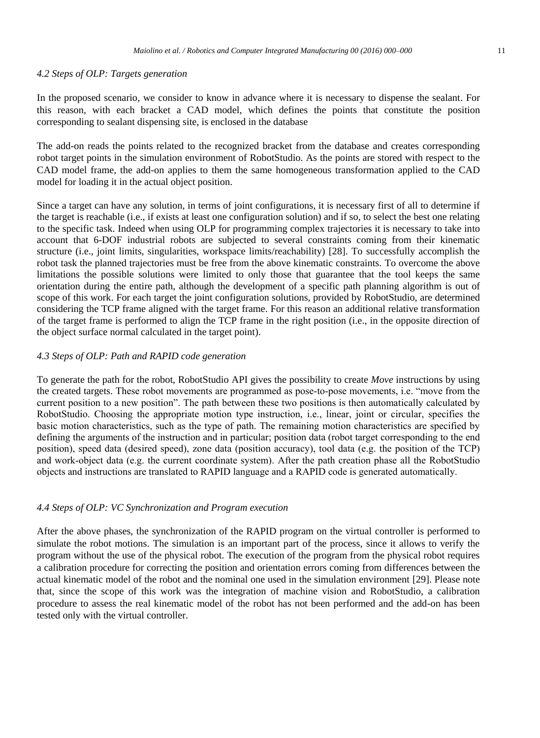#### *4.2 Steps of OLP: Targets generation*

In the proposed scenario, we consider to know in advance where it is necessary to dispense the sealant. For this reason, with each bracket a CAD model, which defines the points that constitute the position corresponding to sealant dispensing site, is enclosed in the database

The add-on reads the points related to the recognized bracket from the database and creates corresponding robot target points in the simulation environment of RobotStudio. As the points are stored with respect to the CAD model frame, the add-on applies to them the same homogeneous transformation applied to the CAD model for loading it in the actual object position.

Since a target can have any solution, in terms of joint configurations, it is necessary first of all to determine if the target is reachable (i.e., if exists at least one configuration solution) and if so, to select the best one relating to the specific task. Indeed when using OLP for programming complex trajectories it is necessary to take into account that 6-DOF industrial robots are subjected to several constraints coming from their kinematic structure (i.e., joint limits, singularities, workspace limits/reachability) [28]. To successfully accomplish the robot task the planned trajectories must be free from the above kinematic constraints. To overcome the above limitations the possible solutions were limited to only those that guarantee that the tool keeps the same orientation during the entire path, although the development of a specific path planning algorithm is out of scope of this work. For each target the joint configuration solutions, provided by RobotStudio, are determined considering the TCP frame aligned with the target frame. For this reason an additional relative transformation of the target frame is performed to align the TCP frame in the right position (i.e., in the opposite direction of the object surface normal calculated in the target point).

#### *4.3 Steps of OLP: Path and RAPID code generation*

To generate the path for the robot, RobotStudio API gives the possibility to create *Move* instructions by using the created targets. These robot movements are programmed as pose-to-pose movements, i.e. "move from the current position to a new position". The path between these two positions is then automatically calculated by RobotStudio. Choosing the appropriate motion type instruction, i.e., linear, joint or circular, specifies the basic motion characteristics, such as the type of path. The remaining motion characteristics are specified by defining the arguments of the instruction and in particular; position data (robot target corresponding to the end position), speed data (desired speed), zone data (position accuracy), tool data (e.g. the position of the TCP) and work-object data (e.g. the current coordinate system). After the path creation phase all the RobotStudio objects and instructions are translated to RAPID language and a RAPID code is generated automatically.

#### *4.4 Steps of OLP: VC Synchronization and Program execution*

After the above phases, the synchronization of the RAPID program on the virtual controller is performed to simulate the robot motions. The simulation is an important part of the process, since it allows to verify the program without the use of the physical robot. The execution of the program from the physical robot requires a calibration procedure for correcting the position and orientation errors coming from differences between the actual kinematic model of the robot and the nominal one used in the simulation environment [29]. Please note that, since the scope of this work was the integration of machine vision and RobotStudio, a calibration procedure to assess the real kinematic model of the robot has not been performed and the add-on has been tested only with the virtual controller.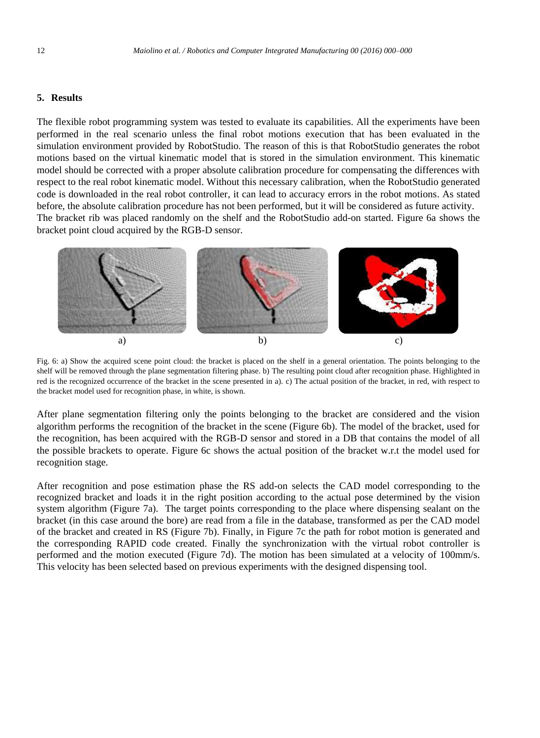#### **5. Results**

The flexible robot programming system was tested to evaluate its capabilities. All the experiments have been performed in the real scenario unless the final robot motions execution that has been evaluated in the simulation environment provided by RobotStudio. The reason of this is that RobotStudio generates the robot motions based on the virtual kinematic model that is stored in the simulation environment. This kinematic model should be corrected with a proper absolute calibration procedure for compensating the differences with respect to the real robot kinematic model. Without this necessary calibration, when the RobotStudio generated code is downloaded in the real robot controller, it can lead to accuracy errors in the robot motions. As stated before, the absolute calibration procedure has not been performed, but it will be considered as future activity. The bracket rib was placed randomly on the shelf and the RobotStudio add-on started. Figure 6a shows the bracket point cloud acquired by the RGB-D sensor.



Fig. 6: a) Show the acquired scene point cloud: the bracket is placed on the shelf in a general orientation. The points belonging to the shelf will be removed through the plane segmentation filtering phase. b) The resulting point cloud after recognition phase. Highlighted in red is the recognized occurrence of the bracket in the scene presented in a). c) The actual position of the bracket, in red, with respect to the bracket model used for recognition phase, in white, is shown.

After plane segmentation filtering only the points belonging to the bracket are considered and the vision algorithm performs the recognition of the bracket in the scene (Figure 6b). The model of the bracket, used for the recognition, has been acquired with the RGB-D sensor and stored in a DB that contains the model of all the possible brackets to operate. Figure 6c shows the actual position of the bracket w.r.t the model used for recognition stage.

After recognition and pose estimation phase the RS add-on selects the CAD model corresponding to the recognized bracket and loads it in the right position according to the actual pose determined by the vision system algorithm (Figure 7a). The target points corresponding to the place where dispensing sealant on the bracket (in this case around the bore) are read from a file in the database, transformed as per the CAD model of the bracket and created in RS (Figure 7b). Finally, in Figure 7c the path for robot motion is generated and the corresponding RAPID code created. Finally the synchronization with the virtual robot controller is performed and the motion executed (Figure 7d). The motion has been simulated at a velocity of 100mm/s. This velocity has been selected based on previous experiments with the designed dispensing tool.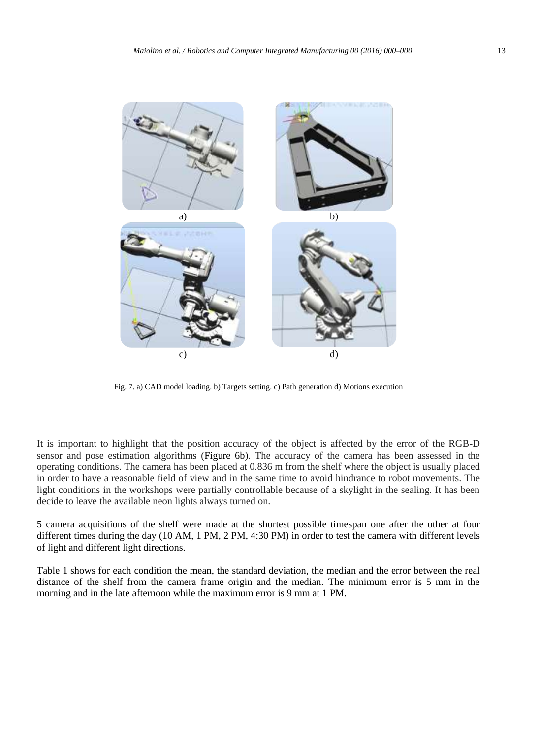

Fig. 7. a) CAD model loading. b) Targets setting. c) Path generation d) Motions execution

It is important to highlight that the position accuracy of the object is affected by the error of the RGB-D sensor and pose estimation algorithms (Figure 6b). The accuracy of the camera has been assessed in the operating conditions. The camera has been placed at 0.836 m from the shelf where the object is usually placed in order to have a reasonable field of view and in the same time to avoid hindrance to robot movements. The light conditions in the workshops were partially controllable because of a skylight in the sealing. It has been decide to leave the available neon lights always turned on.

5 camera acquisitions of the shelf were made at the shortest possible timespan one after the other at four different times during the day (10 AM, 1 PM, 2 PM, 4:30 PM) in order to test the camera with different levels of light and different light directions.

Table 1 shows for each condition the mean, the standard deviation, the median and the error between the real distance of the shelf from the camera frame origin and the median. The minimum error is 5 mm in the morning and in the late afternoon while the maximum error is 9 mm at 1 PM.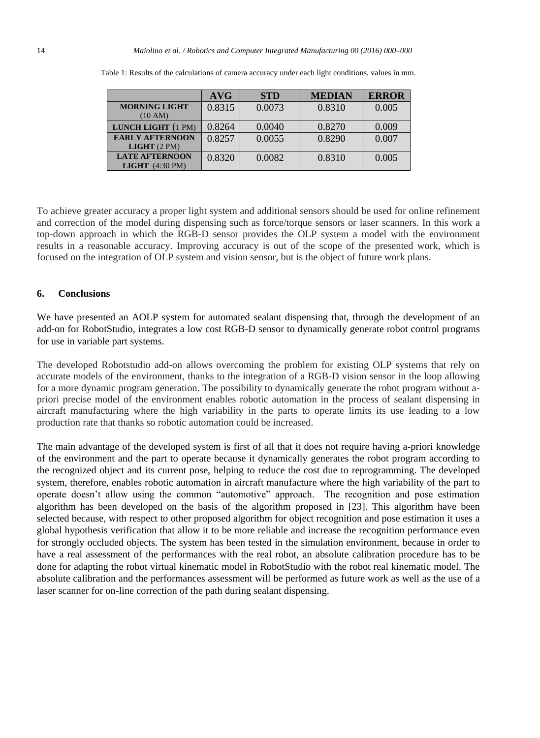|                                                           | AVG    | <b>STD</b> | <b>MEDIAN</b> | <b>ERROR</b> |
|-----------------------------------------------------------|--------|------------|---------------|--------------|
| <b>MORNING LIGHT</b><br>(10 AM)                           | 0.8315 | 0.0073     | 0.8310        | 0.005        |
| LUNCH LIGHT (1 PM)                                        | 0.8264 | 0.0040     | 0.8270        | 0.009        |
| <b>EARLY AFTERNOON</b><br>LIGHT(2PM)                      | 0.8257 | 0.0055     | 0.8290        | 0.007        |
| <b>LATE AFTERNOON</b><br><b>LIGHT</b> $(4:30 \text{ PM})$ | 0.8320 | 0.0082     | 0.8310        | 0.005        |

Table 1: Results of the calculations of camera accuracy under each light conditions, values in mm.

To achieve greater accuracy a proper light system and additional sensors should be used for online refinement and correction of the model during dispensing such as force/torque sensors or laser scanners. In this work a top-down approach in which the RGB-D sensor provides the OLP system a model with the environment results in a reasonable accuracy. Improving accuracy is out of the scope of the presented work, which is focused on the integration of OLP system and vision sensor, but is the object of future work plans.

#### **6. Conclusions**

We have presented an AOLP system for automated sealant dispensing that, through the development of an add-on for RobotStudio, integrates a low cost RGB-D sensor to dynamically generate robot control programs for use in variable part systems.

The developed Robotstudio add-on allows overcoming the problem for existing OLP systems that rely on accurate models of the environment, thanks to the integration of a RGB-D vision sensor in the loop allowing for a more dynamic program generation. The possibility to dynamically generate the robot program without apriori precise model of the environment enables robotic automation in the process of sealant dispensing in aircraft manufacturing where the high variability in the parts to operate limits its use leading to a low production rate that thanks so robotic automation could be increased.

The main advantage of the developed system is first of all that it does not require having a-priori knowledge of the environment and the part to operate because it dynamically generates the robot program according to the recognized object and its current pose, helping to reduce the cost due to reprogramming. The developed system, therefore, enables robotic automation in aircraft manufacture where the high variability of the part to operate doesn't allow using the common "automotive" approach. The recognition and pose estimation algorithm has been developed on the basis of the algorithm proposed in [23]. This algorithm have been selected because, with respect to other proposed algorithm for object recognition and pose estimation it uses a global hypothesis verification that allow it to be more reliable and increase the recognition performance even for strongly occluded objects. The system has been tested in the simulation environment, because in order to have a real assessment of the performances with the real robot, an absolute calibration procedure has to be done for adapting the robot virtual kinematic model in RobotStudio with the robot real kinematic model. The absolute calibration and the performances assessment will be performed as future work as well as the use of a laser scanner for on-line correction of the path during sealant dispensing.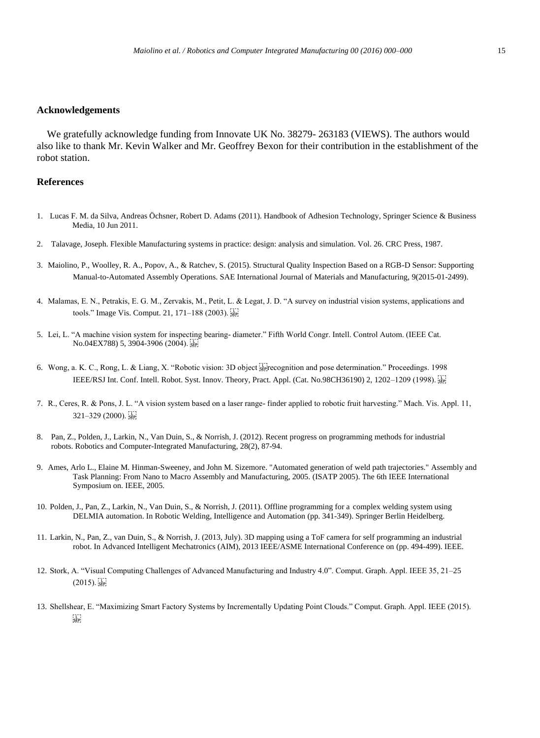#### **Acknowledgements**

 We gratefully acknowledge funding from Innovate UK No. 38279- 263183 (VIEWS). The authors would also like to thank Mr. Kevin Walker and Mr. Geoffrey Bexon for their contribution in the establishment of the robot station.

#### **References**

- 1. Lucas F. M. da Silva, Andreas Öchsner, Robert D. Adams (2011). Handbook of Adhesion Technology, Springer Science & Business Media, 10 Jun 2011.
- 2. Talavage, Joseph. Flexible Manufacturing systems in practice: design: analysis and simulation. Vol. 26. CRC Press, 1987.
- 3. Maiolino, P., Woolley, R. A., Popov, A., & Ratchev, S. (2015). Structural Quality Inspection Based on a RGB-D Sensor: Supporting Manual-to-Automated Assembly Operations. SAE International Journal of Materials and Manufacturing, 9(2015-01-2499).
- 4. Malamas, E. N., Petrakis, E. G. M., Zervakis, M., Petit, L. & Legat, J. D. "A survey on industrial vision systems, applications and tools." Image Vis. Comput. 21, 171–188 (2003).
- 5. Lei, L. "A machine vision system for inspecting bearing- diameter." Fifth World Congr. Intell. Control Autom. (IEEE Cat. No.04EX788) 5, 3904-3906 (2004). SEP
- 6. Wong, a. K. C., Rong, L. & Liang, X. "Robotic vision: 3D object  $\frac{1}{2}$  recognition and pose determination." Proceedings. 1998 IEEE/RSJ Int. Conf. Intell. Robot. Syst. Innov. Theory, Pract. Appl. (Cat. No.98CH36190) 2, 1202–1209 (1998).
- 7. R., Ceres, R. & Pons, J. L. "A vision system based on a laser range- finder applied to robotic fruit harvesting." Mach. Vis. Appl. 11, 321–329 (2000).
- 8. Pan, Z., Polden, J., Larkin, N., Van Duin, S., & Norrish, J. (2012). Recent progress on programming methods for industrial robots. Robotics and Computer-Integrated Manufacturing, 28(2), 87-94.
- 9. Ames, Arlo L., Elaine M. Hinman-Sweeney, and John M. Sizemore. "Automated generation of weld path trajectories." Assembly and Task Planning: From Nano to Macro Assembly and Manufacturing, 2005. (ISATP 2005). The 6th IEEE International Symposium on. IEEE, 2005.
- 10. Polden, J., Pan, Z., Larkin, N., Van Duin, S., & Norrish, J. (2011). Offline programming for a complex welding system using DELMIA automation. In Robotic Welding, Intelligence and Automation (pp. 341-349). Springer Berlin Heidelberg.
- 11. Larkin, N., Pan, Z., van Duin, S., & Norrish, J. (2013, July). 3D mapping using a ToF camera for self programming an industrial robot. In Advanced Intelligent Mechatronics (AIM), 2013 IEEE/ASME International Conference on (pp. 494-499). IEEE.
- 12. Stork, A. "Visual Computing Challenges of Advanced Manufacturing and Industry 4.0". Comput. Graph. Appl. IEEE 35, 21–25  $(2015)$ .  $\frac{1}{55}$
- 13. Shellshear, E. "Maximizing Smart Factory Systems by Incrementally Updating Point Clouds." Comput. Graph. Appl. IEEE (2015).  $SEP$